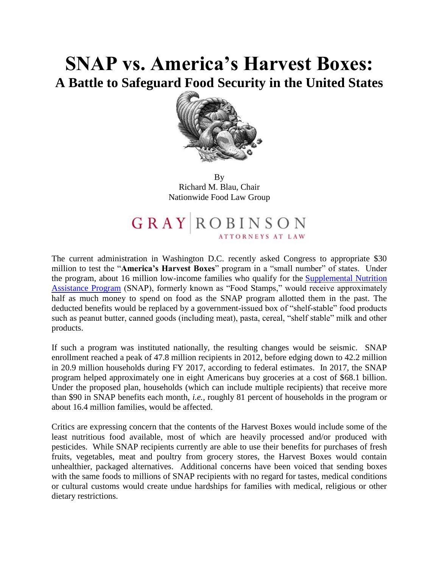# **SNAP vs. America's Harvest Boxes: A Battle to Safeguard Food Security in the United States**



By Richard M. Blau, Chair Nationwide Food Law Group

# **GRAY** ROBINSON

The current administration in Washington D.C. recently asked Congress to appropriate \$30 million to test the "**America's Harvest Boxes**" program in a "small number" of states. Under the program, about 16 million low-income families who qualify for the [Supplemental Nutrition](https://protect-us.mimecast.com/s/5MpgC82B3Zh6xL52iLh3Xm?domain=salsa3.salsalabs.com)  [Assistance Program](https://protect-us.mimecast.com/s/5MpgC82B3Zh6xL52iLh3Xm?domain=salsa3.salsalabs.com) (SNAP), formerly known as "Food Stamps," would receive approximately half as much money to spend on food as the SNAP program allotted them in the past. The deducted benefits would be replaced by a government-issued box of "shelf-stable" food products such as peanut butter, canned goods (including meat), pasta, cereal, "shelf stable" milk and other products.

If such a program was instituted nationally, the resulting changes would be seismic. SNAP enrollment reached a peak of 47.8 million recipients in 2012, before edging down to 42.2 million in 20.9 million households during FY 2017, according to federal estimates. In 2017, the SNAP program helped approximately one in eight Americans buy groceries at a cost of \$68.1 billion. Under the proposed plan, households (which can include multiple recipients) that receive more than \$90 in SNAP benefits each month, *i.e.,* roughly 81 percent of households in the program or about 16.4 million families, would be affected.

Critics are expressing concern that the contents of the Harvest Boxes would include some of the least nutritious food available, most of which are heavily processed and/or produced with pesticides. While SNAP recipients currently are able to use their benefits for purchases of fresh fruits, vegetables, meat and poultry from grocery stores, the Harvest Boxes would contain unhealthier, packaged alternatives. Additional concerns have been voiced that sending boxes with the same foods to millions of SNAP recipients with no regard for tastes, medical conditions or cultural customs would create undue hardships for families with medical, religious or other dietary restrictions.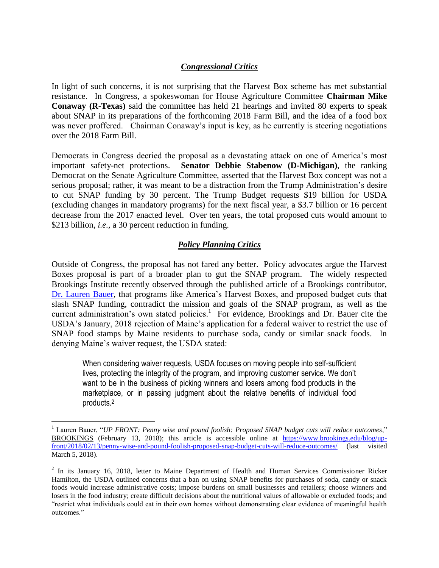#### *Congressional Critics*

In light of such concerns, it is not surprising that the Harvest Box scheme has met substantial resistance. In Congress, a spokeswoman for House Agriculture Committee **Chairman Mike Conaway (R-Texas)** said the committee has held 21 hearings and invited 80 experts to speak about SNAP in its preparations of the forthcoming 2018 Farm Bill, and the idea of a food box was never proffered. Chairman Conaway's input is key, as he currently is steering negotiations over the 2018 Farm Bill.

Democrats in Congress decried the proposal as a devastating attack on one of America's most important safety-net protections. **Senator Debbie Stabenow (D-Michigan)**, the ranking Democrat on the Senate Agriculture Committee, asserted that the Harvest Box concept was not a serious proposal; rather, it was meant to be a distraction from the Trump Administration's desire to cut SNAP funding by 30 percent. The Trump Budget requests \$19 billion for USDA (excluding changes in mandatory programs) for the next fiscal year, a \$3.7 billion or 16 percent decrease from the 2017 enacted level. Over ten years, the total proposed cuts would amount to \$213 billion, *i.e.*, a 30 percent reduction in funding.

#### *Policy Planning Critics*

Outside of Congress, the proposal has not fared any better. Policy advocates argue the Harvest Boxes proposal is part of a broader plan to gut the SNAP program. The widely respected Brookings Institute recently observed through the published article of a Brookings contributor, [Dr. Lauren Bauer,](https://www.brookings.edu/experts/lauren-bauer/) that programs like America's Harvest Boxes, and proposed budget cuts that slash SNAP funding, contradict the mission and goals of the SNAP program, as well as the current administration's own stated policies.<sup>1</sup> For evidence, Brookings and Dr. Bauer cite the USDA's January, 2018 rejection of Maine's application for a federal waiver to restrict the use of SNAP food stamps by Maine residents to purchase soda, candy or similar snack foods. In denying Maine's waiver request, the USDA stated:

When considering waiver requests, USDA focuses on moving people into self-sufficient lives, protecting the integrity of the program, and improving customer service. We don't want to be in the business of picking winners and losers among food products in the marketplace, or in passing judgment about the relative benefits of individual food products.<sup>2</sup>

<sup>1</sup> Lauren Bauer, "*UP FRONT: Penny wise and pound foolish: Proposed SNAP budget cuts will reduce outcomes*," BROOKINGS (February 13, 2018); this article is accessible online at [https://www.brookings.edu/blog/up](https://www.brookings.edu/blog/up-front/2018/02/13/penny-wise-and-pound-foolish-proposed-snap-budget-cuts-will-reduce-outcomes/)[front/2018/02/13/penny-wise-and-pound-foolish-proposed-snap-budget-cuts-will-reduce-outcomes/](https://www.brookings.edu/blog/up-front/2018/02/13/penny-wise-and-pound-foolish-proposed-snap-budget-cuts-will-reduce-outcomes/) (last visited March 5, 2018).

<sup>&</sup>lt;sup>2</sup> In its January 16, 2018, letter to Maine Department of Health and Human Services Commissioner Ricker Hamilton, the USDA outlined concerns that a ban on using SNAP benefits for purchases of soda, candy or snack foods would increase administrative costs; impose burdens on small businesses and retailers; choose winners and losers in the food industry; create difficult decisions about the nutritional values of allowable or excluded foods; and "restrict what individuals could eat in their own homes without demonstrating clear evidence of meaningful health outcomes."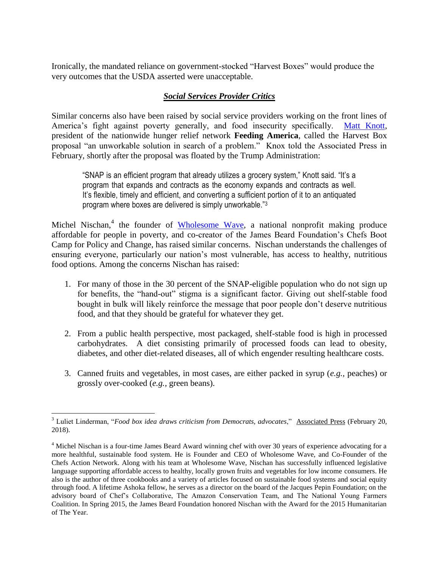Ironically, the mandated reliance on government-stocked "Harvest Boxes" would produce the very outcomes that the USDA asserted were unacceptable.

# *Social Services Provider Critics*

Similar concerns also have been raised by social service providers working on the front lines of America's fight against poverty generally, and food insecurity specifically. [Matt Knott,](http://www.feedingamerica.org/about-us/leadership/matt-knott.html?referrer=https://www.google.com/) president of the nationwide hunger relief network **Feeding America**, called the Harvest Box proposal "an unworkable solution in search of a problem." Knox told the Associated Press in February, shortly after the proposal was floated by the Trump Administration:

"SNAP is an efficient program that already utilizes a grocery system," Knott said. "It's a program that expands and contracts as the economy expands and contracts as well. It's flexible, timely and efficient, and converting a sufficient portion of it to an antiquated program where boxes are delivered is simply unworkable."<sup>3</sup>

Michel Nischan,<sup>4</sup> the founder of [Wholesome Wave,](https://www.wholesomewave.org/) a national nonprofit making produce affordable for people in poverty, and co-creator of the James Beard Foundation's Chefs Boot Camp for Policy and Change, has raised similar concerns. Nischan understands the challenges of ensuring everyone, particularly our nation's most vulnerable, has access to healthy, nutritious food options. Among the concerns Nischan has raised:

- 1. For many of those in the 30 percent of the SNAP-eligible population who do not sign up for benefits, the "hand-out" stigma is a significant factor. Giving out shelf-stable food bought in bulk will likely reinforce the message that poor people don't deserve nutritious food, and that they should be grateful for whatever they get.
- 2. From a public health perspective, most packaged, shelf-stable food is high in processed carbohydrates. A diet consisting primarily of processed foods can lead to obesity, diabetes, and other diet-related diseases, all of which engender resulting healthcare costs.
- 3. Canned fruits and vegetables, in most cases, are either packed in syrup (*e.g.,* peaches) or grossly over-cooked (*e.g.,* green beans).

 $\overline{a}$ <sup>3</sup> Luliet Linderman, "*Food box idea draws criticism from Democrats, advocates*," Associated Press (February 20, 2018).

<sup>&</sup>lt;sup>4</sup> Michel Nischan is a four-time James Beard Award winning chef with over 30 years of experience advocating for a more healthful, sustainable food system. He is Founder and CEO of Wholesome Wave, and Co-Founder of the Chefs Action Network. Along with his team at Wholesome Wave, Nischan has successfully influenced legislative language supporting affordable access to healthy, locally grown fruits and vegetables for low income consumers. He also is the author of three cookbooks and a variety of articles focused on sustainable food systems and social equity through food. A lifetime Ashoka fellow, he serves as a director on the board of the Jacques Pepin Foundation; on the advisory board of Chef's Collaborative, The Amazon Conservation Team, and The National Young Farmers Coalition. In Spring 2015, the James Beard Foundation honored Nischan with the Award for the 2015 Humanitarian of The Year.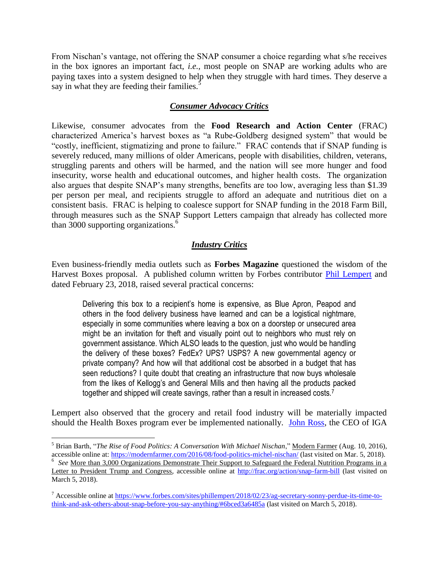From Nischan's vantage, not offering the SNAP consumer a choice regarding what s/he receives in the box ignores an important fact, *i.e.,* most people on SNAP are working adults who are paying taxes into a system designed to help when they struggle with hard times. They deserve a say in what they are feeding their families.<sup>5</sup>

#### *Consumer Advocacy Critics*

Likewise, consumer advocates from the **Food Research and Action Center** (FRAC) characterized America's harvest boxes as "a Rube-Goldberg designed system" that would be "costly, inefficient, stigmatizing and prone to failure." FRAC contends that if SNAP funding is severely reduced, many millions of older Americans, people with disabilities, children, veterans, struggling parents and others will be harmed, and the nation will see more hunger and food insecurity, worse health and educational outcomes, and higher health costs. The organization also argues that despite SNAP's many strengths, benefits are too low, averaging less than \$1.39 per person per meal, and recipients struggle to afford an adequate and nutritious diet on a consistent basis. FRAC is helping to coalesce support for SNAP funding in the 2018 Farm Bill, through measures such as the SNAP Support Letters campaign that already has collected more than 3000 supporting organizations.<sup>6</sup>

# *Industry Critics*

Even business-friendly media outlets such as **Forbes Magazine** questioned the wisdom of the Harvest Boxes proposal. A published column written by Forbes contributor [Phil Lempert](http://www.supermarketguru.com/about.html) and dated February 23, 2018, raised several practical concerns:

Delivering this box to a recipient's home is expensive, as Blue Apron, Peapod and others in the food delivery business have learned and can be a logistical nightmare, especially in some communities where leaving a box on a doorstep or unsecured area might be an invitation for theft and visually point out to neighbors who must rely on government assistance. Which ALSO leads to the question, just who would be handling the delivery of these boxes? FedEx? UPS? USPS? A new governmental agency or private company? And how will that additional cost be absorbed in a budget that has seen reductions? I quite doubt that creating an infrastructure that now buys wholesale from the likes of Kellogg's and General Mills and then having all the products packed together and shipped will create savings, rather than a result in increased costs.<sup>7</sup>

Lempert also observed that the grocery and retail food industry will be materially impacted should the Health Boxes program ever be implemented nationally. [John Ross,](https://www.iga.com/consumer/default.aspx) the CEO of IGA

<sup>5</sup> Brian Barth, "*The Rise of Food Politics: A Conversation With Michael Nischan*," Modern Farmer (Aug. 10, 2016), accessible online at:<https://modernfarmer.com/2016/08/food-politics-michel-nischan/> (last visited on Mar. 5, 2018). <sup>6</sup> See <u>More than 3,000 Organizations Demonstrate Their Support to Safeguard the Federal Nutrition Programs in a</u> Letter to President Trump and Congress, accessible online at<http://frac.org/action/snap-farm-bill> (last visited on March 5, 2018).

<sup>7</sup> Accessible online at [https://www.forbes.com/sites/phillempert/2018/02/23/ag-secretary-sonny-perdue-its-time-to](https://www.forbes.com/sites/phillempert/2018/02/23/ag-secretary-sonny-perdue-its-time-to-think-and-ask-others-about-snap-before-you-say-anything/#6bced3a6485a)[think-and-ask-others-about-snap-before-you-say-anything/#6bced3a6485a](https://www.forbes.com/sites/phillempert/2018/02/23/ag-secretary-sonny-perdue-its-time-to-think-and-ask-others-about-snap-before-you-say-anything/#6bced3a6485a) (last visited on March 5, 2018).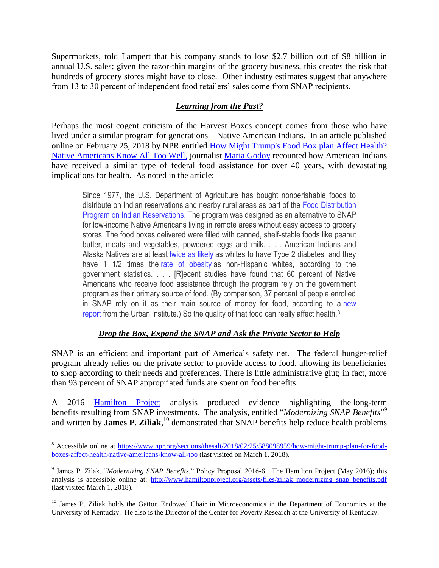Supermarkets, told Lampert that his company stands to lose \$2.7 billion out of \$8 billion in annual U.S. sales; given the razor-thin margins of the grocery business, this creates the risk that hundreds of grocery stores might have to close. Other industry estimates suggest that anywhere from 13 to 30 percent of independent food retailers' sales come from SNAP recipients.

# *Learning from the Past?*

Perhaps the most cogent criticism of the Harvest Boxes concept comes from those who have lived under a similar program for generations – Native American Indians. In an article published online on February 25, 2018 by NPR entitled [How Might Trump's Food Box plan Affect Health?](https://www.npr.org/sections/thesalt/2018/02/25/588098959/how-might-trump-plan-for-food-boxes-affect-health-native-americans-know-all-too)  [Native Americans Know All Too Well,](https://www.npr.org/sections/thesalt/2018/02/25/588098959/how-might-trump-plan-for-food-boxes-affect-health-native-americans-know-all-too) journalist [Maria Godoy](https://www.npr.org/people/348777820/maria-godoy) recounted how American Indians have received a similar type of federal food assistance for over 40 years, with devastating implications for health. As noted in the article:

Since 1977, the U.S. Department of Agriculture has bought nonperishable foods to distribute on Indian reservations and nearby rural areas as part of the Food [Distribution](https://www.fns.usda.gov/fdpir/food-distribution-program-indian-reservations-fdpir) Program on Indian [Reservations.](https://www.fns.usda.gov/fdpir/food-distribution-program-indian-reservations-fdpir) The program was designed as an alternative to SNAP for low-income Native Americans living in remote areas without easy access to grocery stores. The food boxes delivered were filled with canned, shelf-stable foods like peanut butter, meats and vegetables, powdered eggs and milk. . . . American Indians and Alaska Natives are at least [twice](https://www.cdc.gov/vitalsigns/pdf/2017-01-vitalsigns.pdf) as likely as whites to have Type 2 diabetes, and they have 1 1/2 times the rate of [obesity](https://minorityhealth.hhs.gov/omh/content.aspx?lvl=3&lvlID=62&ID=6457) as non-Hispanic whites, according to the government statistics. . . . [R]ecent studies have found that 60 percent of Native Americans who receive food assistance through the program rely on the government program as their primary source of food. (By comparison, 37 percent of people enrolled in SNAP rely on it as their main source of money for food, according to a [new](https://www.urban.org/research/publication/how-far-do-snap-benefits-fall-short-covering-cost-meal/view/full_report) [report](https://www.urban.org/research/publication/how-far-do-snap-benefits-fall-short-covering-cost-meal/view/full_report) from the Urban Institute.) So the quality of that food can really affect health.<sup>8</sup>

# *Drop the Box, Expand the SNAP and Ask the Private Sector to Help*

SNAP is an efficient and important part of America's safety net. The federal hunger-relief program already relies on the private sector to provide access to food, allowing its beneficiaries to shop according to their needs and preferences. There is little administrative glut; in fact, more than 93 percent of SNAP appropriated funds are spent on food benefits.

A 2016 [Hamilton Project](http://www.hamiltonproject.org/papers/modernizing_snap_benefits) analysis produced evidence highlighting the long-term benefits resulting from SNAP investments. The analysis, entitled "*Modernizing SNAP Benefits*"<sup>9</sup> and written by **James P. Ziliak**, <sup>10</sup> demonstrated that SNAP benefits help reduce health problems

<sup>&</sup>lt;sup>8</sup> Accessible online at [https://www.npr.org/sections/thesalt/2018/02/25/588098959/how-might-trump-plan-for-food](https://www.npr.org/sections/thesalt/2018/02/25/588098959/how-might-trump-plan-for-food-boxes-affect-health-native-americans-know-all-too)[boxes-affect-health-native-americans-know-all-too](https://www.npr.org/sections/thesalt/2018/02/25/588098959/how-might-trump-plan-for-food-boxes-affect-health-native-americans-know-all-too) (last visited on March 1, 2018).

<sup>9</sup> James P. Zilak, "*Modernizing SNAP Benefits*," Policy Proposal 2016-6, The Hamilton Project (May 2016); this analysis is accessible online at: http://www.hamiltonproject.org/assets/files/ziliak\_modernizing\_snap\_benefits.pdf (last visited March 1, 2018).

<sup>&</sup>lt;sup>10</sup> James P. Ziliak holds the Gatton Endowed Chair in Microeconomics in the Department of Economics at the University of Kentucky. He also is the Director of the Center for Poverty Research at the University of Kentucky.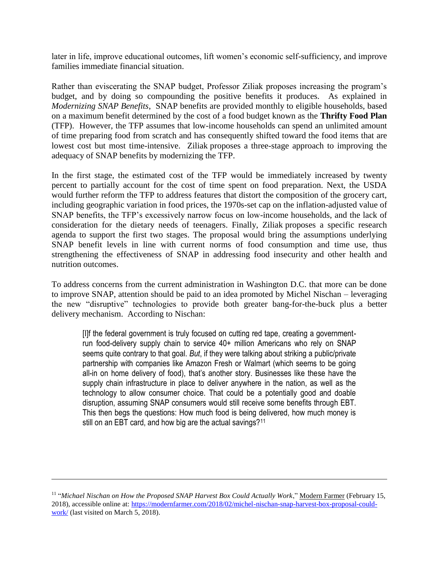later in life, improve educational outcomes, lift women's economic self-sufficiency, and improve families immediate financial situation.

Rather than eviscerating the SNAP budget, Professor Ziliak proposes increasing the program's budget, and by doing so compounding the positive benefits it produces. As explained in *Modernizing SNAP Benefits*, SNAP benefits are provided monthly to eligible households, based on a maximum benefit determined by the cost of a food budget known as the **Thrifty Food Plan** (TFP). However, the TFP assumes that low-income households can spend an unlimited amount of time preparing food from scratch and has consequently shifted toward the food items that are lowest cost but most time-intensive. Ziliak proposes a three-stage approach to improving the adequacy of SNAP benefits by modernizing the TFP.

In the first stage, the estimated cost of the TFP would be immediately increased by twenty percent to partially account for the cost of time spent on food preparation. Next, the USDA would further reform the TFP to address features that distort the composition of the grocery cart, including geographic variation in food prices, the 1970s-set cap on the inflation-adjusted value of SNAP benefits, the TFP's excessively narrow focus on low-income households, and the lack of consideration for the dietary needs of teenagers. Finally, Ziliak proposes a specific research agenda to support the first two stages. The proposal would bring the assumptions underlying SNAP benefit levels in line with current norms of food consumption and time use, thus strengthening the effectiveness of SNAP in addressing food insecurity and other health and nutrition outcomes.

To address concerns from the current administration in Washington D.C. that more can be done to improve SNAP, attention should be paid to an idea promoted by Michel Nischan – leveraging the new "disruptive" technologies to provide both greater bang-for-the-buck plus a better delivery mechanism. According to Nischan:

[I]f the federal government is truly focused on cutting red tape, creating a governmentrun food-delivery supply chain to service 40+ million Americans who rely on SNAP seems quite contrary to that goal. *But*, if they were talking about striking a public/private partnership with companies like Amazon Fresh or Walmart (which seems to be going all-in on home delivery of food), that's another story. Businesses like these have the supply chain infrastructure in place to deliver anywhere in the nation, as well as the technology to allow consumer choice. That could be a potentially good and doable disruption, assuming SNAP consumers would still receive some benefits through EBT. This then begs the questions: How much food is being delivered, how much money is still on an EBT card, and how big are the actual savings?<sup>11</sup>

<sup>&</sup>lt;sup>11</sup> "Michael Nischan on How the Proposed SNAP Harvest Box Could Actually Work," Modern Farmer (February 15, 2018), accessible online at: [https://modernfarmer.com/2018/02/michel-nischan-snap-harvest-box-proposal-could](https://modernfarmer.com/2018/02/michel-nischan-snap-harvest-box-proposal-could-work/)[work/](https://modernfarmer.com/2018/02/michel-nischan-snap-harvest-box-proposal-could-work/) (last visited on March 5, 2018).